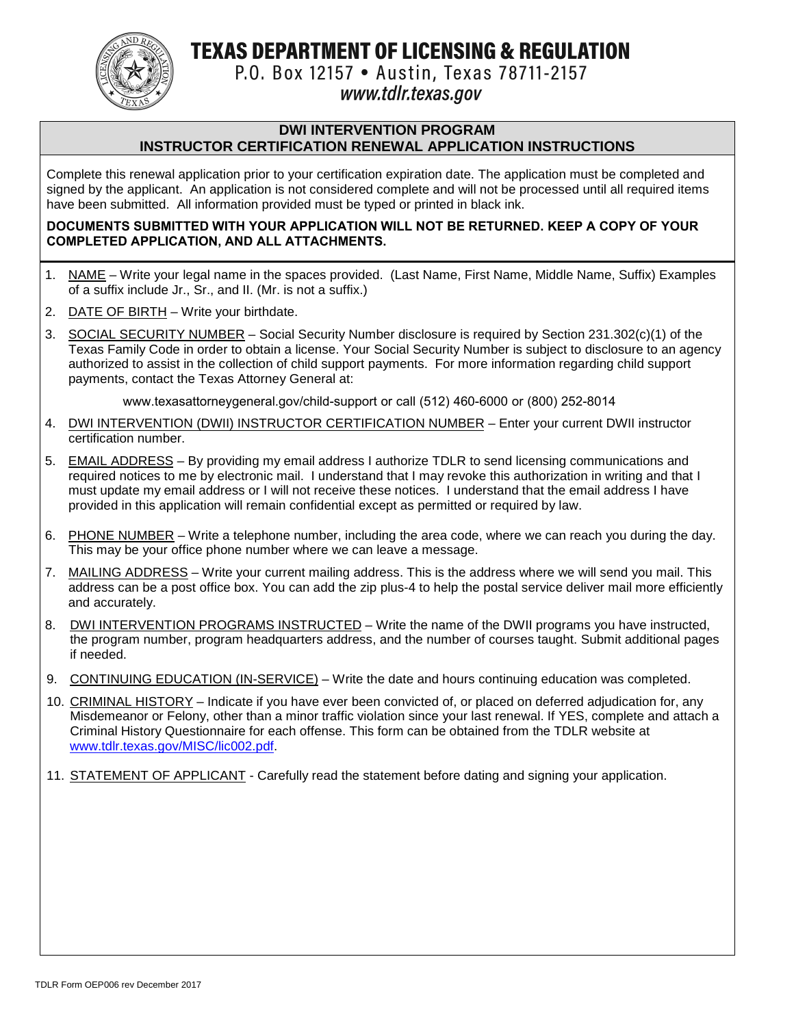TEXAS DEPARTMENT OF LICENSING & REGULATION



P.O. Box 12157 • Austin, Texas 78711-2157

## www.tdlr.texas.gov

#### **DWI INTERVENTION PROGRAM INSTRUCTOR CERTIFICATION RENEWAL APPLICATION INSTRUCTIONS**

Complete this renewal application prior to your certification expiration date. The application must be completed and signed by the applicant. An application is not considered complete and will not be processed until all required items have been submitted. All information provided must be typed or printed in black ink.

#### **DOCUMENTS SUBMITTED WITH YOUR APPLICATION WILL NOT BE RETURNED. KEEP A COPY OF YOUR COMPLETED APPLICATION, AND ALL ATTACHMENTS.**

- 1. NAME Write your legal name in the spaces provided. (Last Name, First Name, Middle Name, Suffix) Examples of a suffix include Jr., Sr., and II. (Mr. is not a suffix.)
- 2. DATE OF BIRTH Write your birthdate.
- 3. SOCIAL SECURITY NUMBER Social Security Number disclosure is required by Section 231.302(c)(1) of the Texas Family Code in order to obtain a license. Your Social Security Number is subject to disclosure to an agency authorized to assist in the collection of child support payments. For more information regarding child support payments, contact the Texas Attorney General at:

www.texasattorneygeneral.gov/child-support or call (512) 460-6000 or (800) 252-8014

- 4. DWI INTERVENTION (DWII) INSTRUCTOR CERTIFICATION NUMBER Enter your current DWII instructor certification number.
- 5. EMAIL ADDRESS By providing my email address I authorize TDLR to send licensing communications and required notices to me by electronic mail. I understand that I may revoke this authorization in writing and that I must update my email address or I will not receive these notices. I understand that the email address I have provided in this application will remain confidential except as permitted or required by law.
- 6. PHONE NUMBER Write a telephone number, including the area code, where we can reach you during the day. This may be your office phone number where we can leave a message.
- 7. MAILING ADDRESS Write your current mailing address. This is the address where we will send you mail. This address can be a post office box. You can add the zip plus-4 to help the postal service deliver mail more efficiently and accurately.
- 8. DWI INTERVENTION PROGRAMS INSTRUCTED Write the name of the DWII programs you have instructed, the program number, program headquarters address, and the number of courses taught. Submit additional pages if needed.
- 9. CONTINUING EDUCATION (IN-SERVICE) Write the date and hours continuing education was completed.
- 10. CRIMINAL HISTORY Indicate if you have ever been convicted of, or placed on deferred adjudication for, any Misdemeanor or Felony, other than a minor traffic violation since your last renewal. If YES, complete and attach a Criminal History Questionnaire for each offense. This form can be obtained from the TDLR website at [www.tdlr.texas.gov/MISC/lic002.pdf.](http://www.tdlr.texas.gov/MISC/lic002.pdf)
- 11. STATEMENT OF APPLICANT Carefully read the statement before dating and signing your application.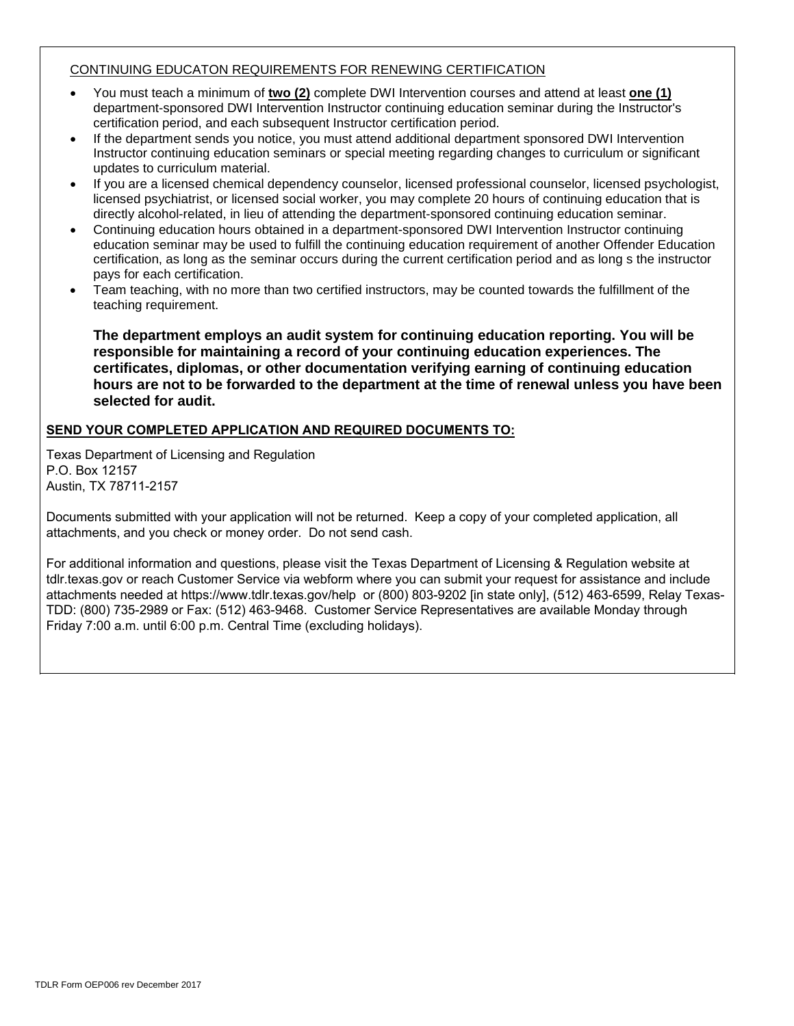#### CONTINUING EDUCATON REQUIREMENTS FOR RENEWING CERTIFICATION

- You must teach a minimum of **two (2)** complete DWI Intervention courses and attend at least **one (1)** department-sponsored DWI Intervention Instructor continuing education seminar during the Instructor's certification period, and each subsequent Instructor certification period.
- If the department sends you notice, you must attend additional department sponsored DWI Intervention Instructor continuing education seminars or special meeting regarding changes to curriculum or significant updates to curriculum material.
- If you are a licensed chemical dependency counselor, licensed professional counselor, licensed psychologist, licensed psychiatrist, or licensed social worker, you may complete 20 hours of continuing education that is directly alcohol-related, in lieu of attending the department-sponsored continuing education seminar.
- Continuing education hours obtained in a department-sponsored DWI Intervention Instructor continuing education seminar may be used to fulfill the continuing education requirement of another Offender Education certification, as long as the seminar occurs during the current certification period and as long s the instructor pays for each certification.
- Team teaching, with no more than two certified instructors, may be counted towards the fulfillment of the teaching requirement.

**The department employs an audit system for continuing education reporting. You will be responsible for maintaining a record of your continuing education experiences. The certificates, diplomas, or other documentation verifying earning of continuing education hours are not to be forwarded to the department at the time of renewal unless you have been selected for audit.**

#### **SEND YOUR COMPLETED APPLICATION AND REQUIRED DOCUMENTS TO:**

Texas Department of Licensing and Regulation P.O. Box 12157 Austin, TX 78711-2157

Documents submitted with your application will not be returned. Keep a copy of your completed application, all attachments, and you check or money order. Do not send cash.

For additional information and questions, please visit the Texas Department of Licensing & Regulation website at tdlr.texas.gov or reach Customer Service via webform where you can submit your request for assistance and include attachments needed at https://www.tdlr.texas.gov/help or (800) 803-9202 [in state only], (512) 463-6599, Relay Texas-TDD: (800) 735-2989 or Fax: (512) 463-9468. Customer Service Representatives are available Monday through Friday 7:00 a.m. until 6:00 p.m. Central Time (excluding holidays).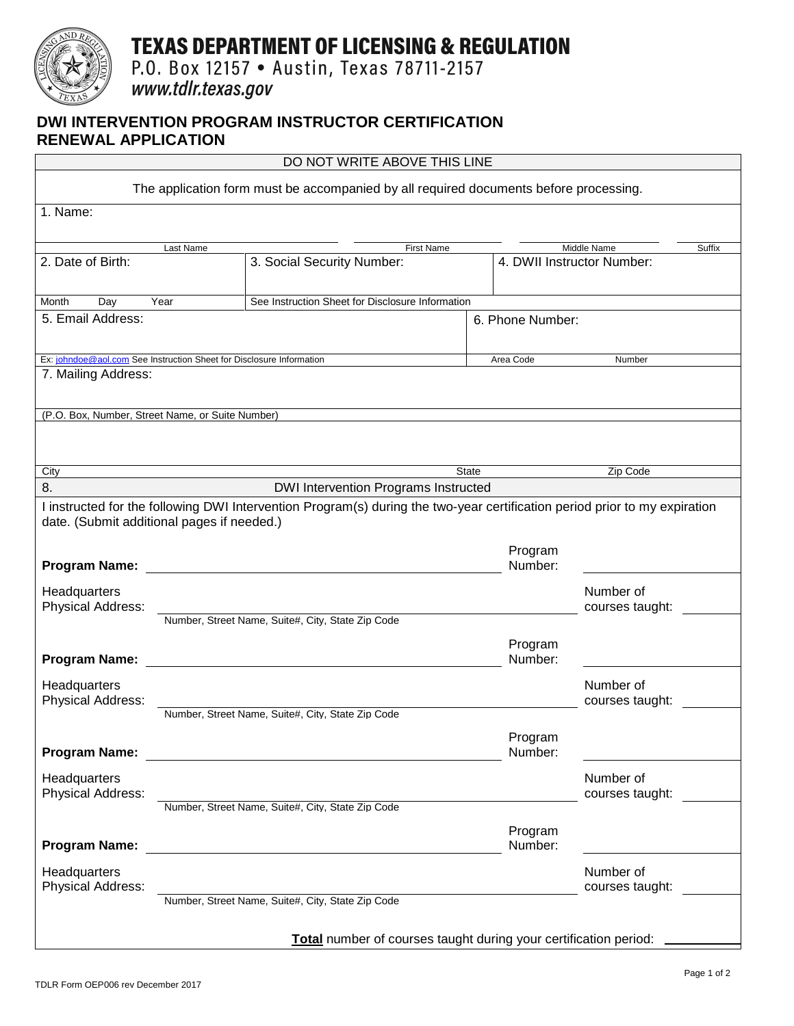

# **TEXAS DEPARTMENT OF LICENSING & REGULATION**

P.O. Box 12157 . Austin, Texas 78711-2157

www.tdlr.texas.gov

### **DWI INTERVENTION PROGRAM INSTRUCTOR CERTIFICATION RENEWAL APPLICATION**

| DO NOT WRITE ABOVE THIS LINE                                                                                                                                             |                                                          |                                                   |                  |                    |                                                     |  |  |
|--------------------------------------------------------------------------------------------------------------------------------------------------------------------------|----------------------------------------------------------|---------------------------------------------------|------------------|--------------------|-----------------------------------------------------|--|--|
| The application form must be accompanied by all required documents before processing.                                                                                    |                                                          |                                                   |                  |                    |                                                     |  |  |
| 1. Name:                                                                                                                                                                 |                                                          |                                                   |                  |                    |                                                     |  |  |
|                                                                                                                                                                          |                                                          |                                                   |                  |                    |                                                     |  |  |
| Last Name<br>2. Date of Birth:                                                                                                                                           |                                                          | <b>First Name</b><br>3. Social Security Number:   |                  |                    | Middle Name<br>Suffix<br>4. DWII Instructor Number: |  |  |
|                                                                                                                                                                          |                                                          |                                                   |                  |                    |                                                     |  |  |
| $\overline{Day}$<br>Month                                                                                                                                                | See Instruction Sheet for Disclosure Information<br>Year |                                                   |                  |                    |                                                     |  |  |
| 5. Email Address:                                                                                                                                                        |                                                          |                                                   | 6. Phone Number: |                    |                                                     |  |  |
|                                                                                                                                                                          |                                                          |                                                   |                  | Number             |                                                     |  |  |
| Ex: johndoe@aol.com See Instruction Sheet for Disclosure Information<br>Area Code<br>7. Mailing Address:                                                                 |                                                          |                                                   |                  |                    |                                                     |  |  |
|                                                                                                                                                                          |                                                          |                                                   |                  |                    |                                                     |  |  |
| (P.O. Box, Number, Street Name, or Suite Number)                                                                                                                         |                                                          |                                                   |                  |                    |                                                     |  |  |
|                                                                                                                                                                          |                                                          |                                                   |                  |                    |                                                     |  |  |
| City                                                                                                                                                                     |                                                          |                                                   | <b>State</b>     |                    | Zip Code                                            |  |  |
| 8.                                                                                                                                                                       |                                                          | <b>DWI Intervention Programs Instructed</b>       |                  |                    |                                                     |  |  |
| I instructed for the following DWI Intervention Program(s) during the two-year certification period prior to my expiration<br>date. (Submit additional pages if needed.) |                                                          |                                                   |                  |                    |                                                     |  |  |
|                                                                                                                                                                          |                                                          |                                                   |                  |                    |                                                     |  |  |
| <b>Program Name:</b>                                                                                                                                                     |                                                          |                                                   |                  | Program<br>Number: |                                                     |  |  |
| Headquarters<br>Physical Address:                                                                                                                                        |                                                          |                                                   |                  |                    | Number of<br>courses taught:                        |  |  |
|                                                                                                                                                                          |                                                          | Number, Street Name, Suite#, City, State Zip Code |                  |                    |                                                     |  |  |
|                                                                                                                                                                          |                                                          |                                                   |                  | Program            |                                                     |  |  |
| <b>Program Name:</b>                                                                                                                                                     |                                                          |                                                   |                  | Number:            |                                                     |  |  |
| Headquarters<br>Physical Address:                                                                                                                                        |                                                          |                                                   |                  |                    | Number of<br>courses taught:                        |  |  |
|                                                                                                                                                                          |                                                          | Number, Street Name, Suite#, City, State Zip Code |                  |                    |                                                     |  |  |
| <b>Program Name:</b>                                                                                                                                                     |                                                          |                                                   |                  | Program<br>Number: |                                                     |  |  |
|                                                                                                                                                                          |                                                          |                                                   |                  |                    |                                                     |  |  |
| Headquarters<br>Physical Address:                                                                                                                                        |                                                          |                                                   |                  |                    | Number of<br>courses taught:                        |  |  |
|                                                                                                                                                                          |                                                          | Number, Street Name, Suite#, City, State Zip Code |                  |                    |                                                     |  |  |
| <b>Program Name:</b>                                                                                                                                                     |                                                          |                                                   |                  | Program<br>Number: |                                                     |  |  |
| Headquarters<br>Physical Address:                                                                                                                                        |                                                          |                                                   |                  |                    | Number of<br>courses taught:                        |  |  |
|                                                                                                                                                                          |                                                          | Number, Street Name, Suite#, City, State Zip Code |                  |                    |                                                     |  |  |
|                                                                                                                                                                          |                                                          |                                                   |                  |                    |                                                     |  |  |
| Total number of courses taught during your certification period:                                                                                                         |                                                          |                                                   |                  |                    |                                                     |  |  |